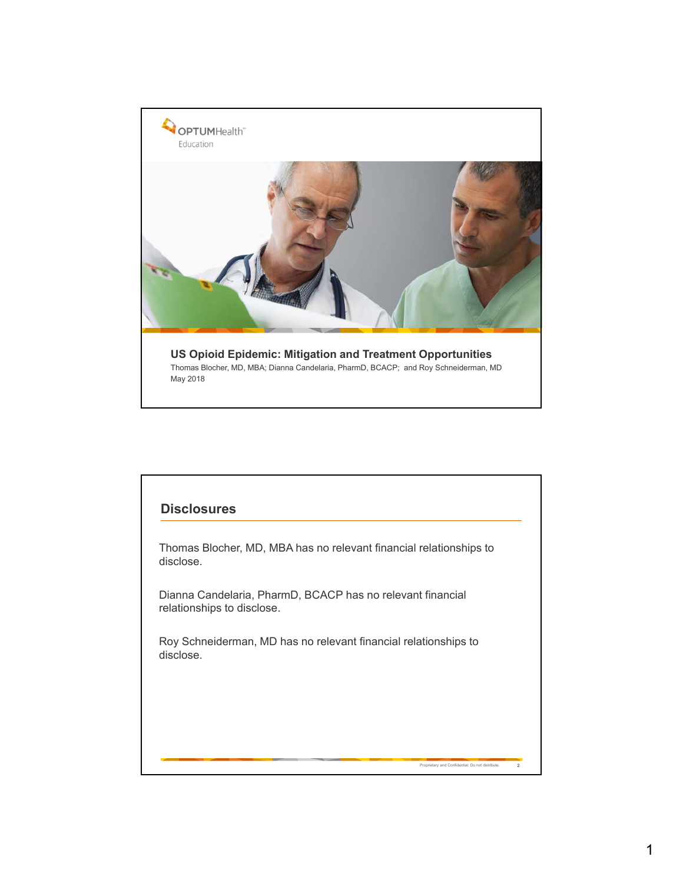

## Proprietary and Confidential. Do not distribute. **2 Disclosures** Thomas Blocher, MD, MBA has no relevant financial relationships to disclose. Dianna Candelaria, PharmD, BCACP has no relevant financial relationships to disclose. Roy Schneiderman, MD has no relevant financial relationships to disclose.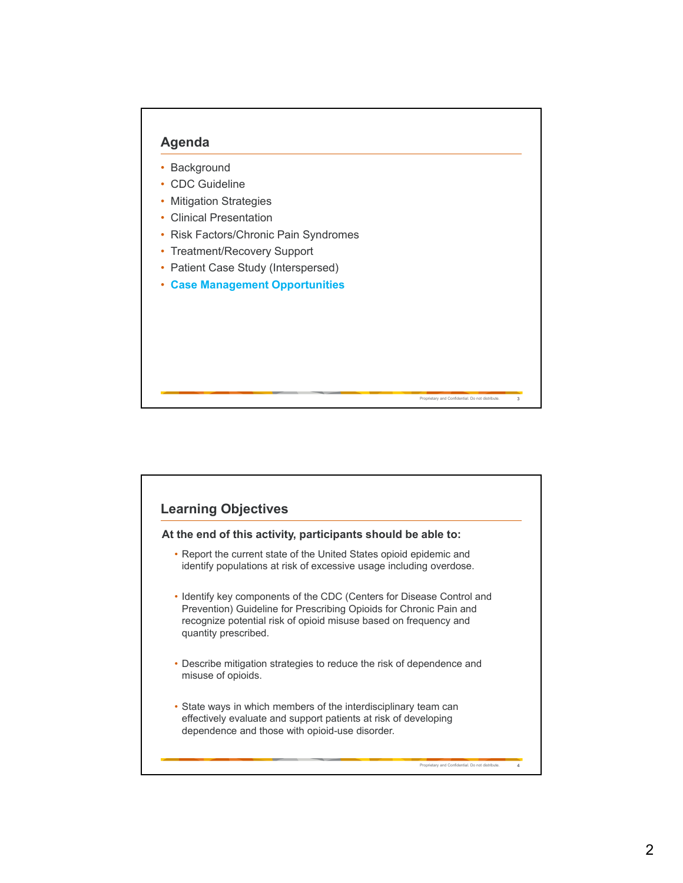

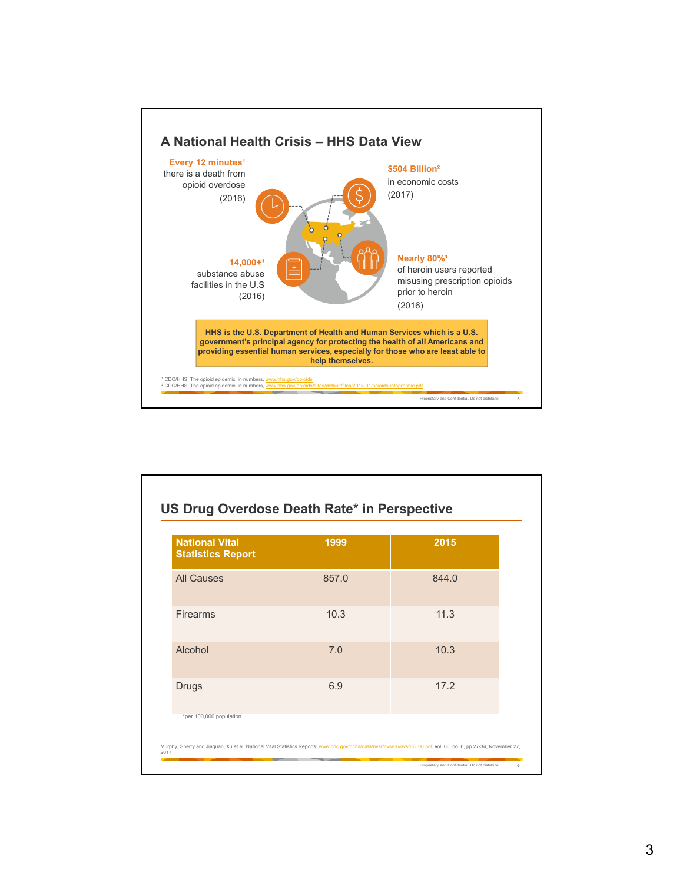

| <b>National Vital</b><br><b>Statistics Report</b> | 1999  | 2015  |
|---------------------------------------------------|-------|-------|
| <b>All Causes</b>                                 | 857.0 | 844.0 |
| <b>Firearms</b>                                   | 10.3  | 11.3  |
| Alcohol                                           | 7.0   | 10.3  |
| <b>Drugs</b>                                      | 6.9   | 17.2  |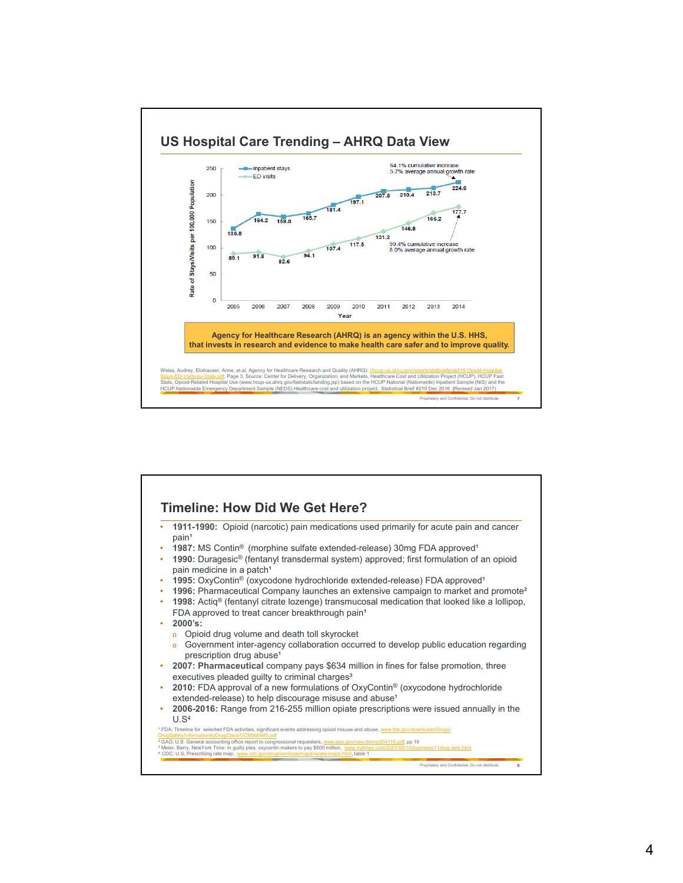

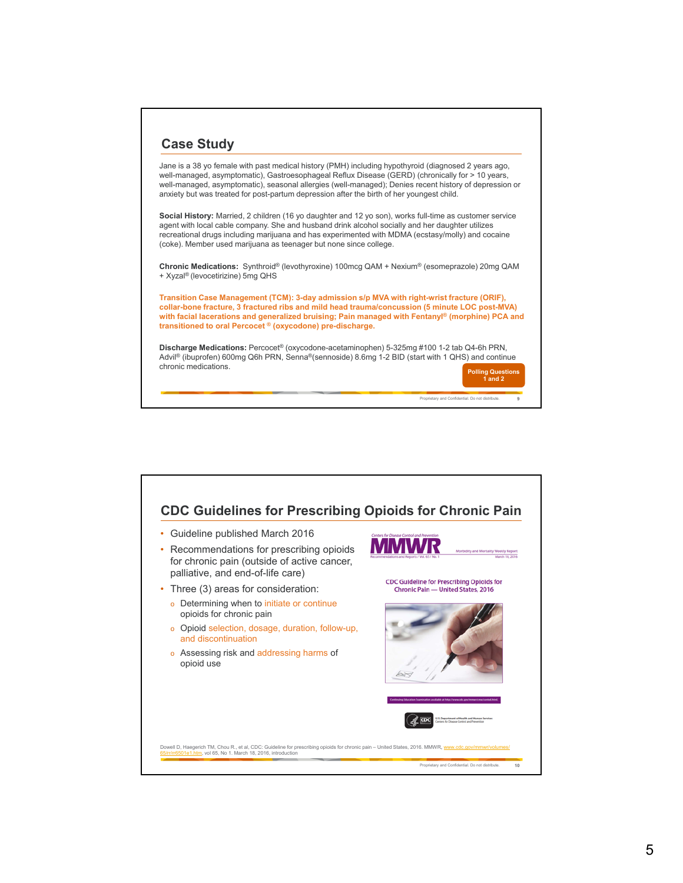

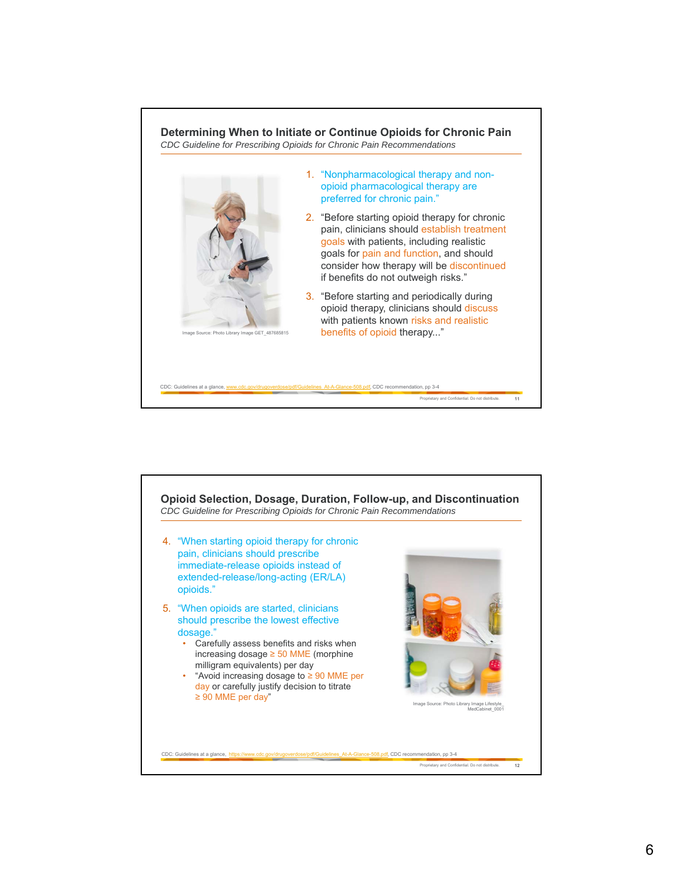

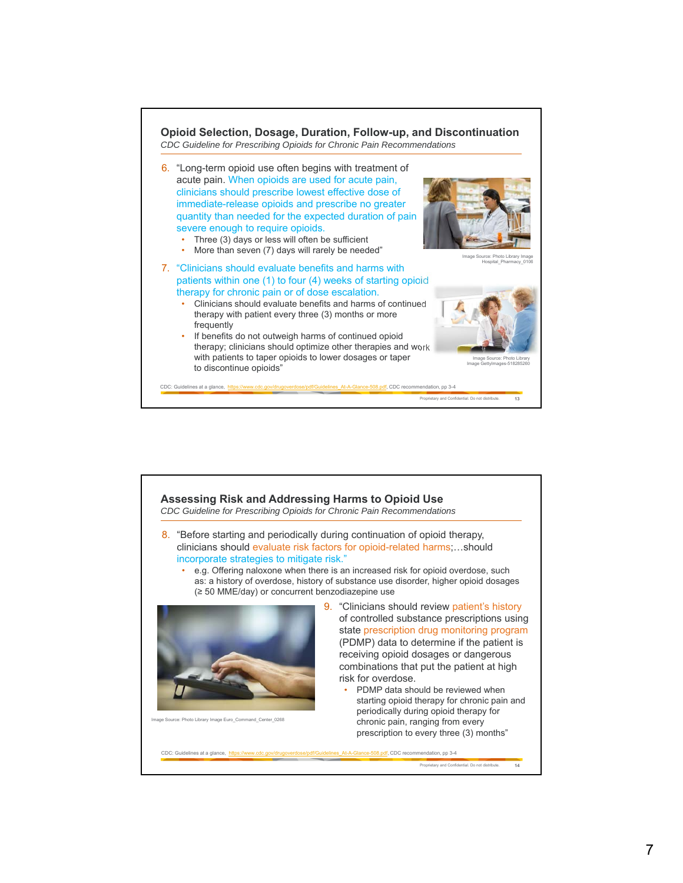

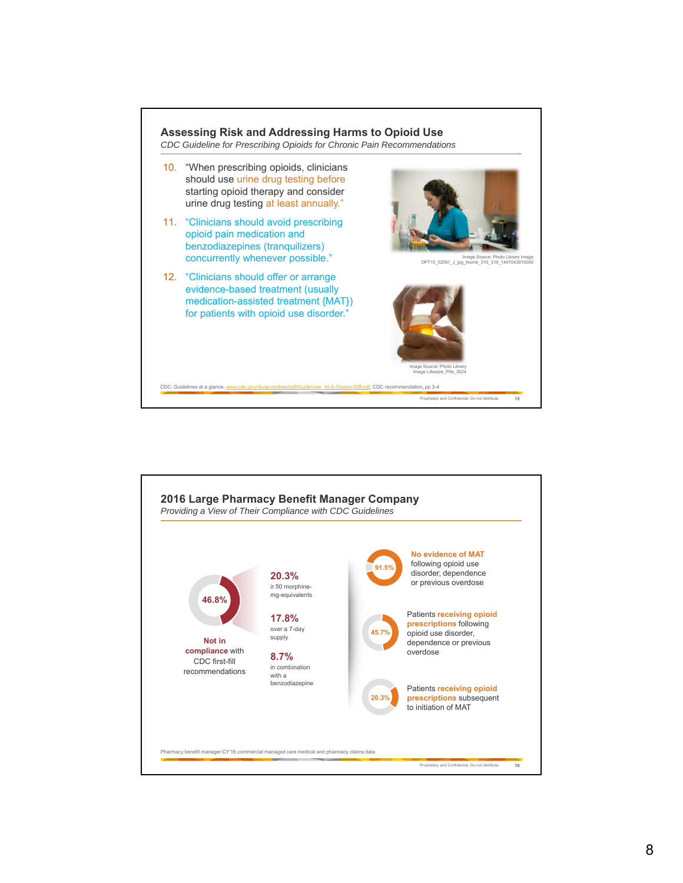

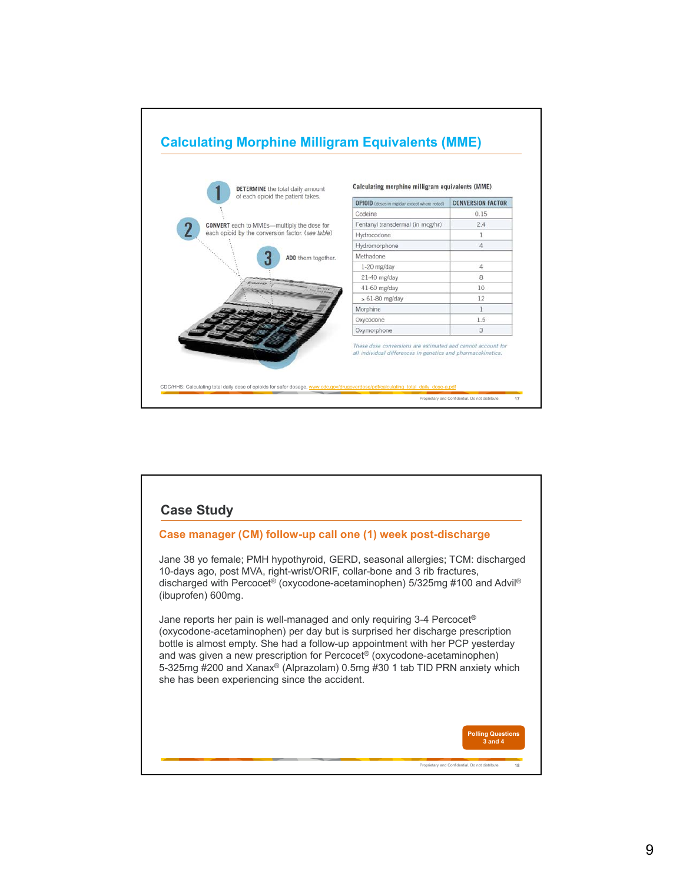

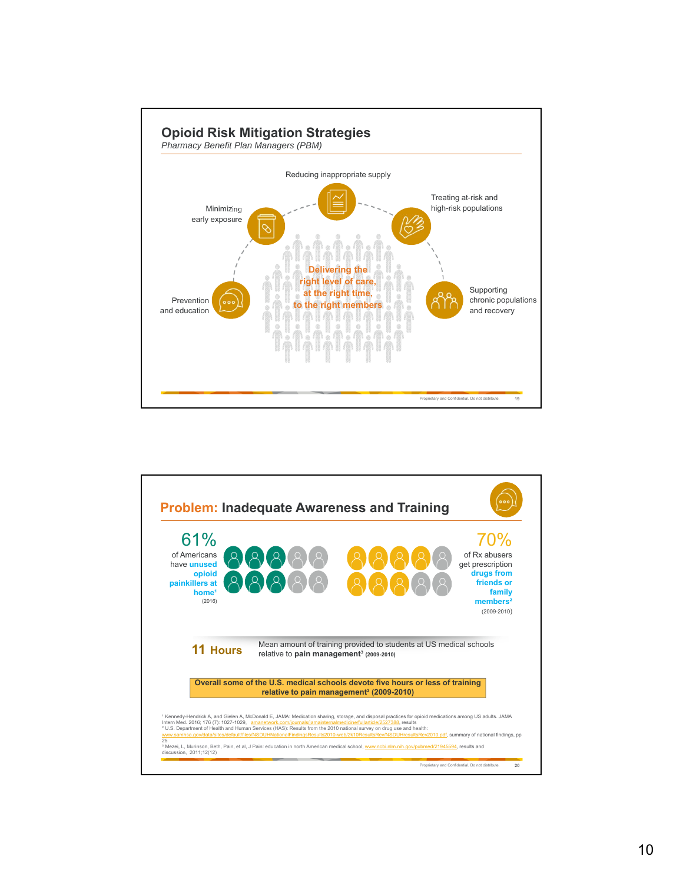

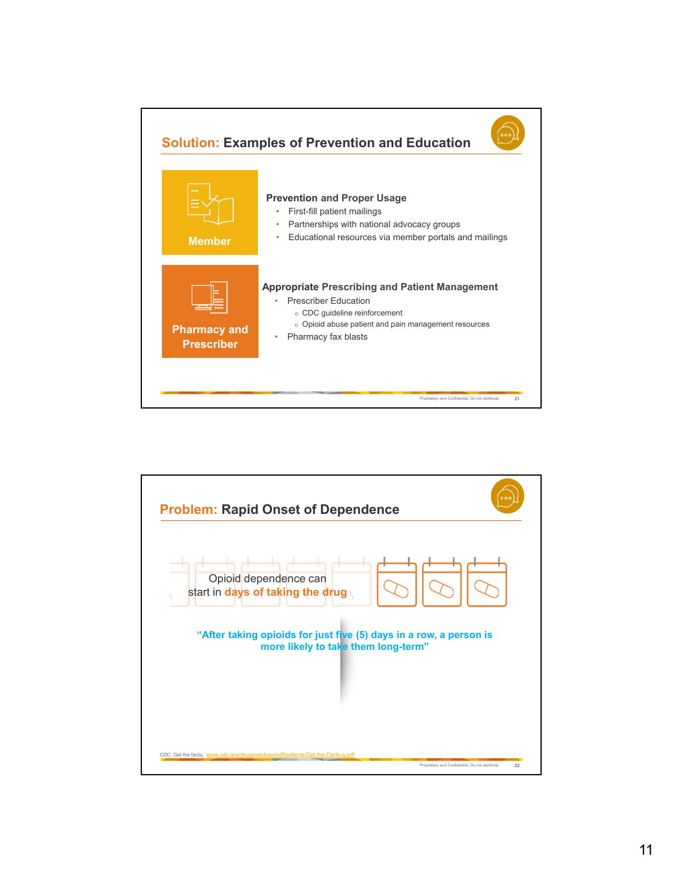

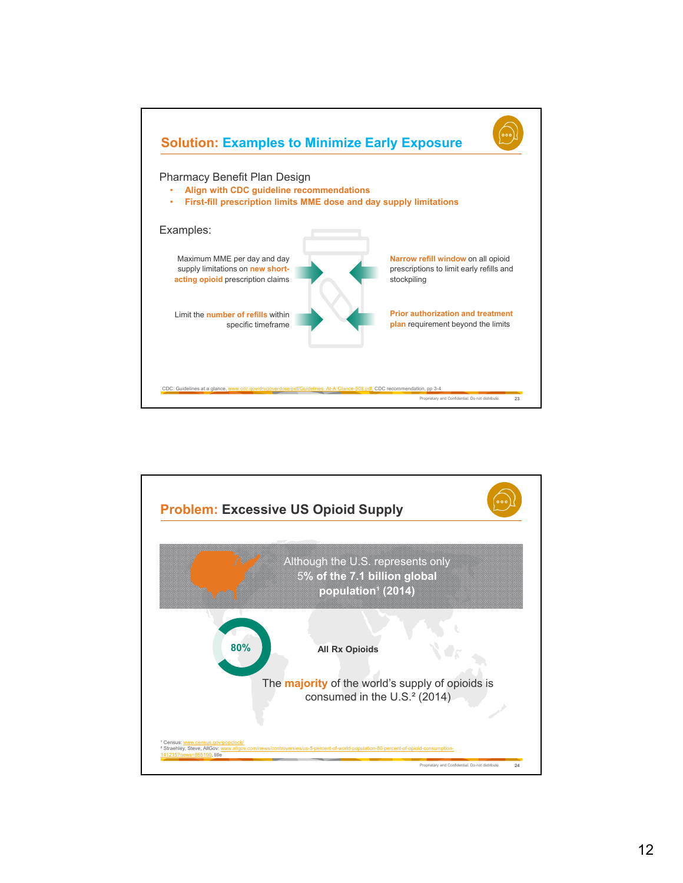

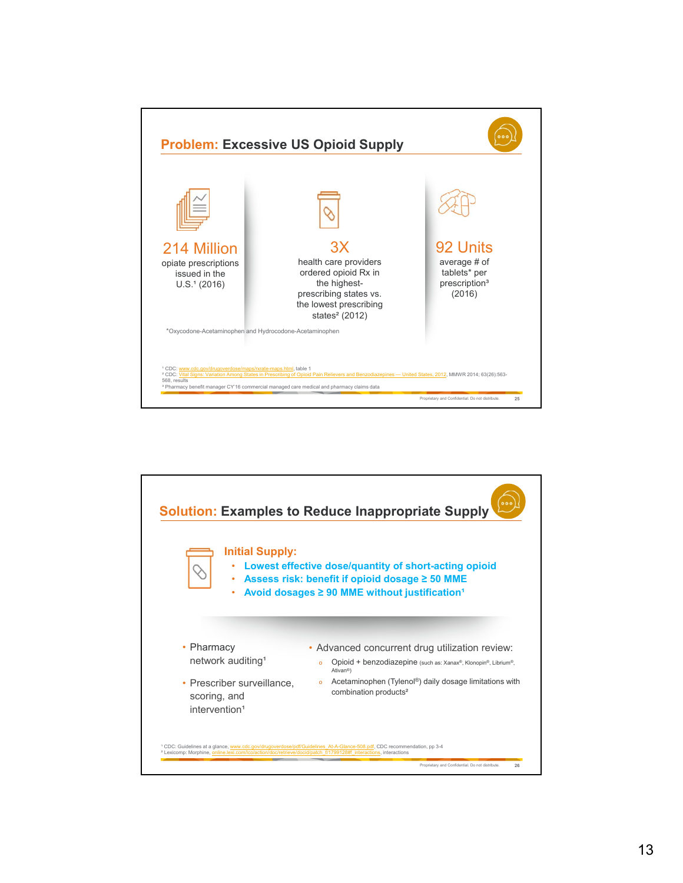

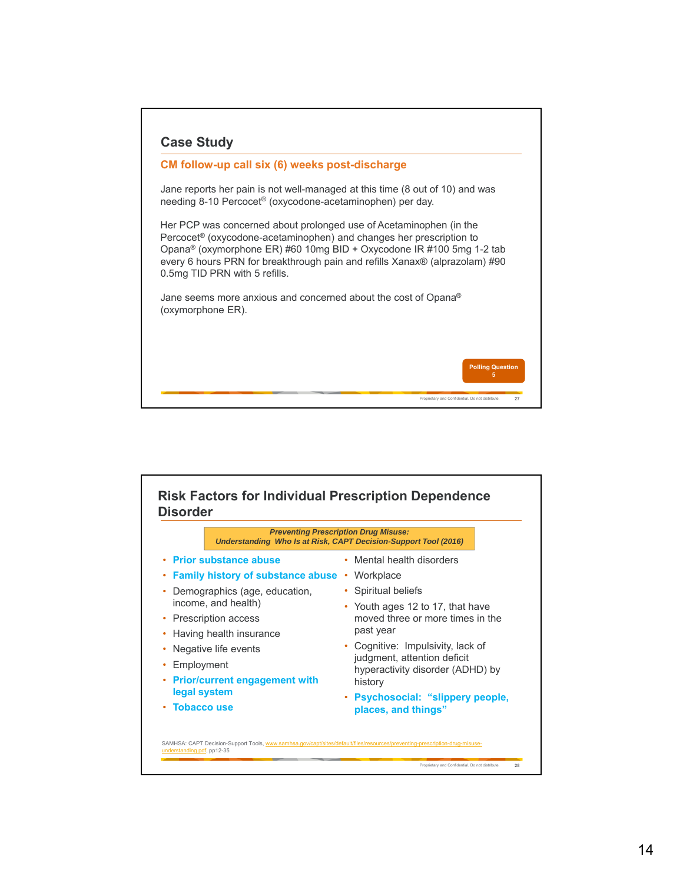

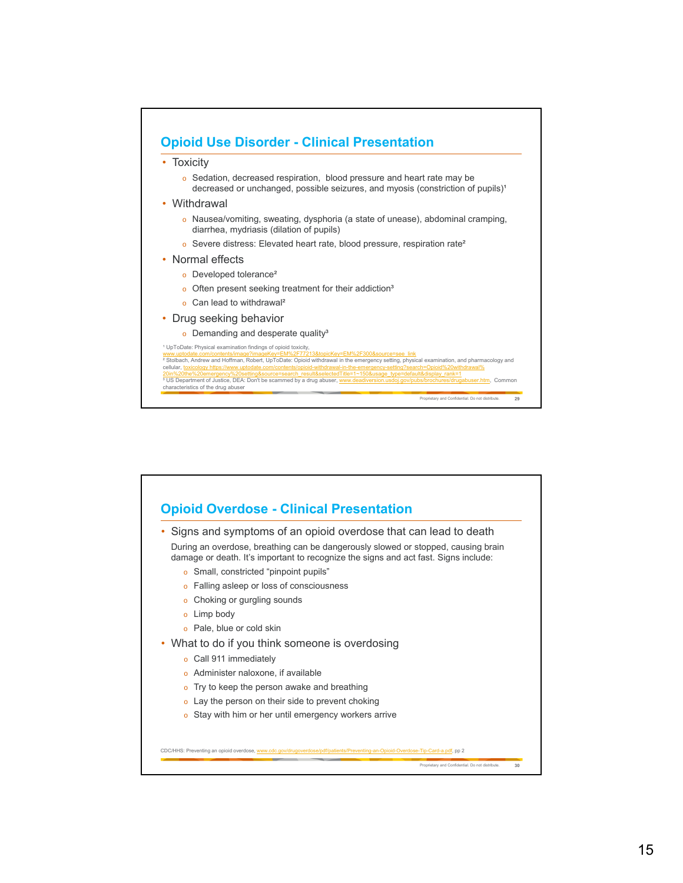

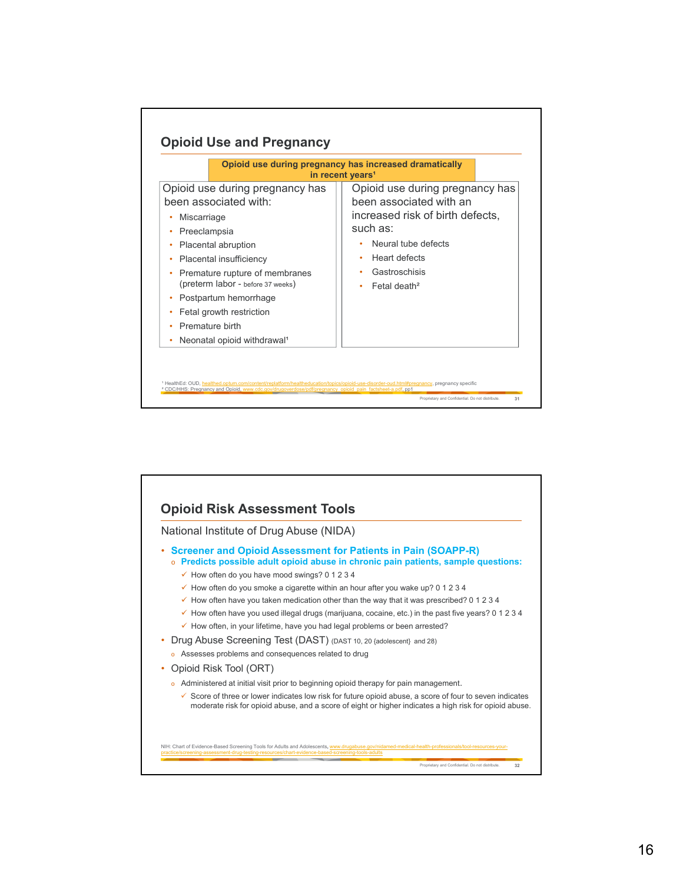

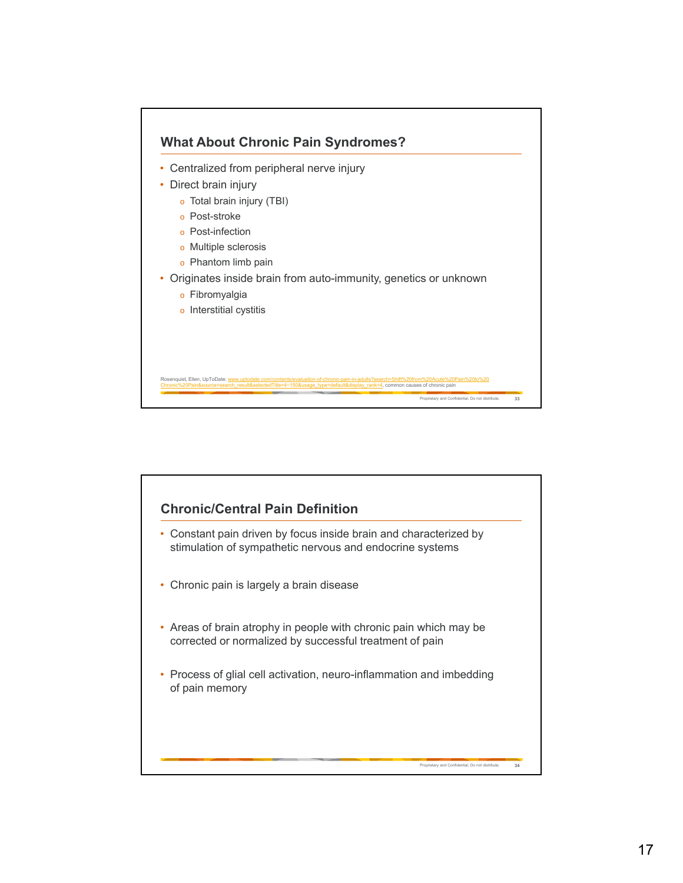

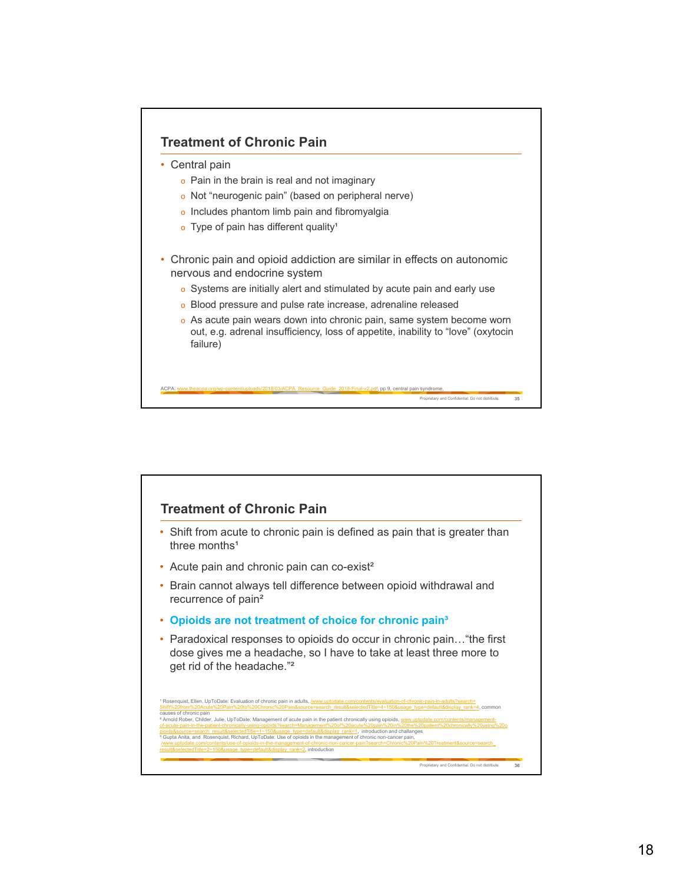

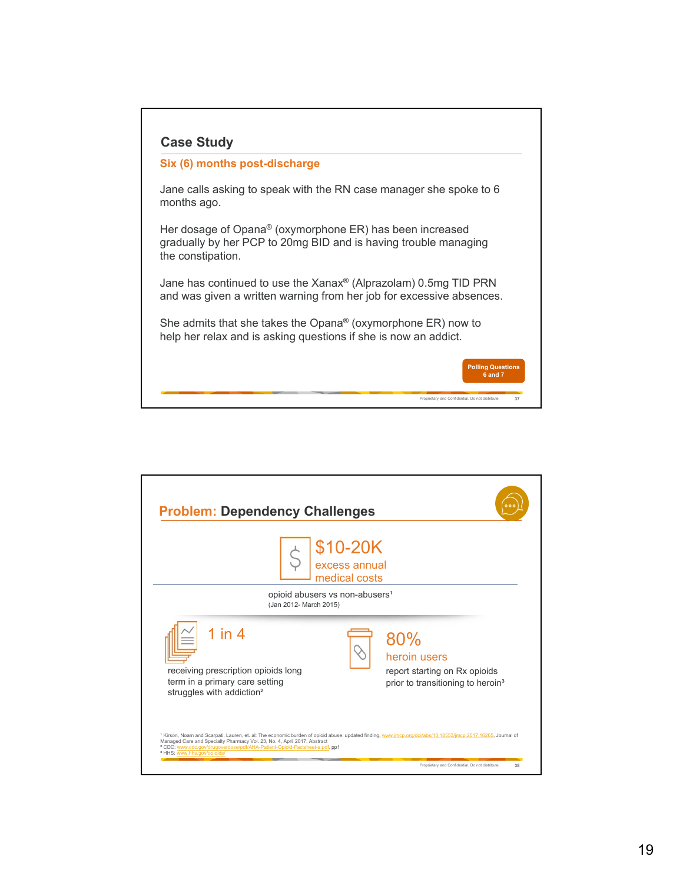| Six (6) months post-discharge                                                                                                                       |                          |
|-----------------------------------------------------------------------------------------------------------------------------------------------------|--------------------------|
| Jane calls asking to speak with the RN case manager she spoke to 6<br>months ago.                                                                   |                          |
| Her dosage of Opana® (oxymorphone ER) has been increased<br>gradually by her PCP to 20mg BID and is having trouble managing<br>the constipation.    |                          |
| Jane has continued to use the Xanax <sup>®</sup> (Alprazolam) 0.5mg TID PRN<br>and was given a written warning from her job for excessive absences. |                          |
| She admits that she takes the Opana <sup>®</sup> (oxymorphone $ER$ ) now to<br>help her relax and is asking questions if she is now an addict.      |                          |
|                                                                                                                                                     | <b>Polling Questions</b> |

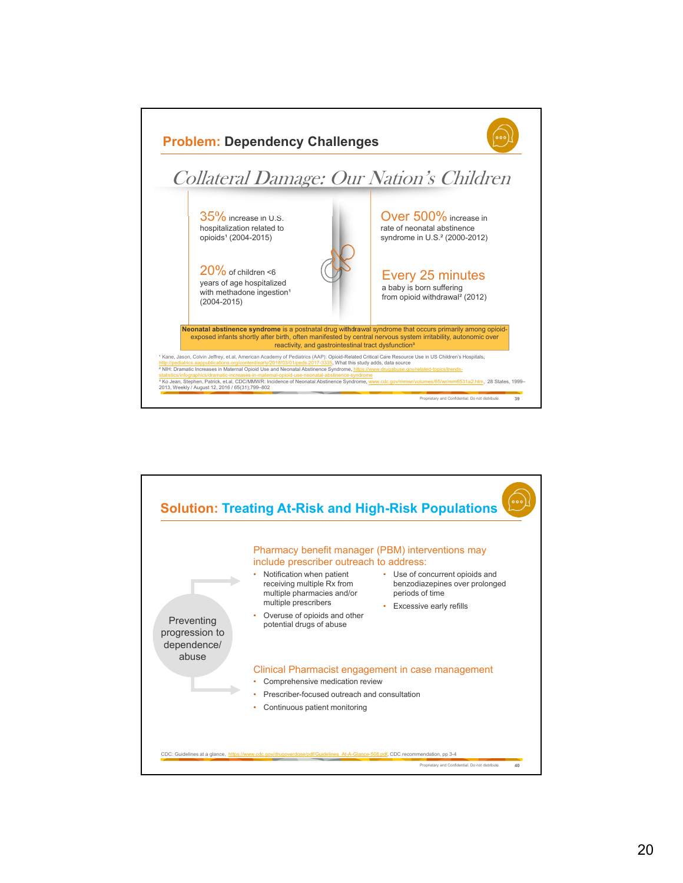

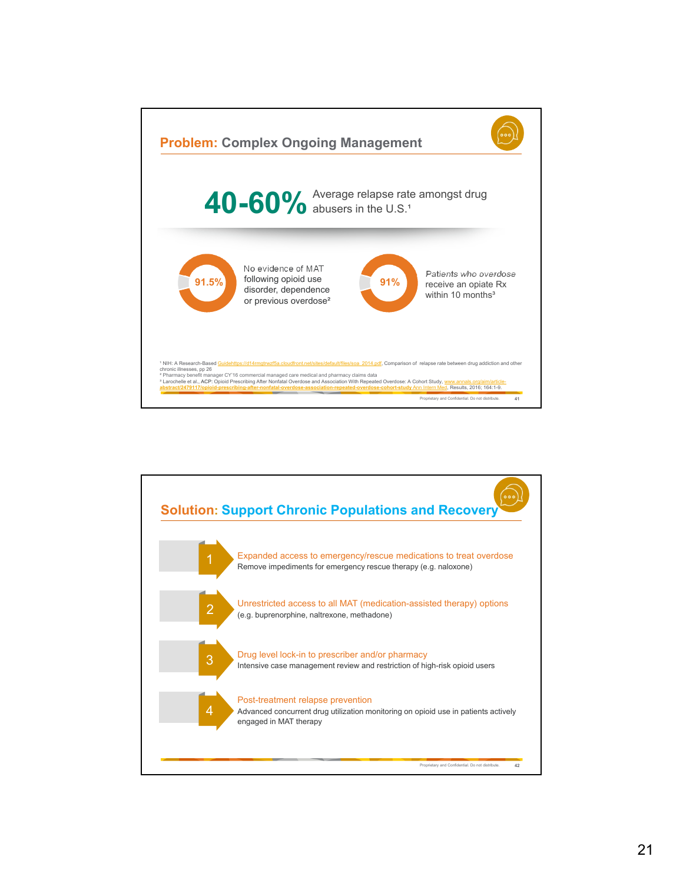

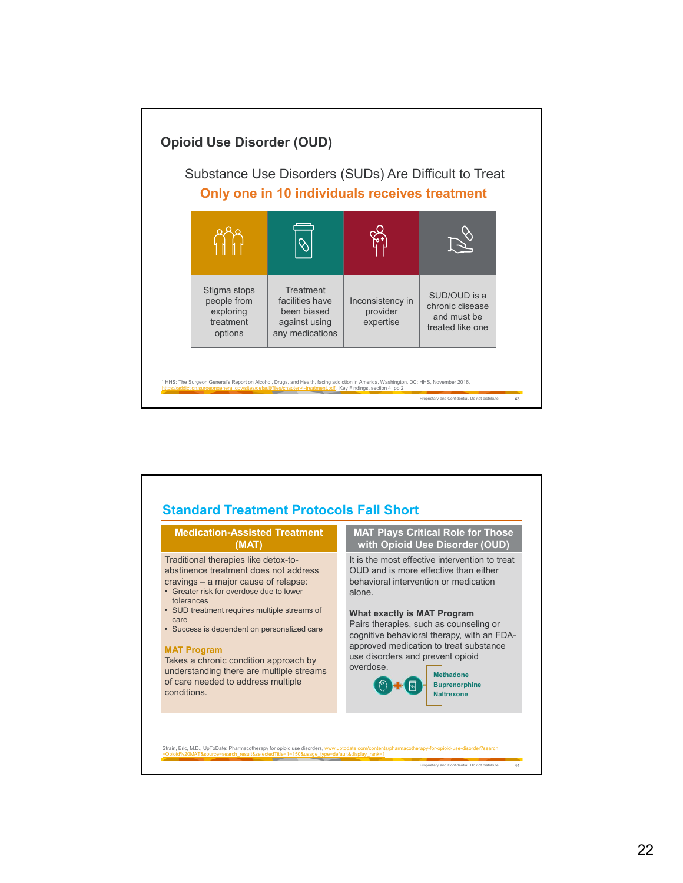

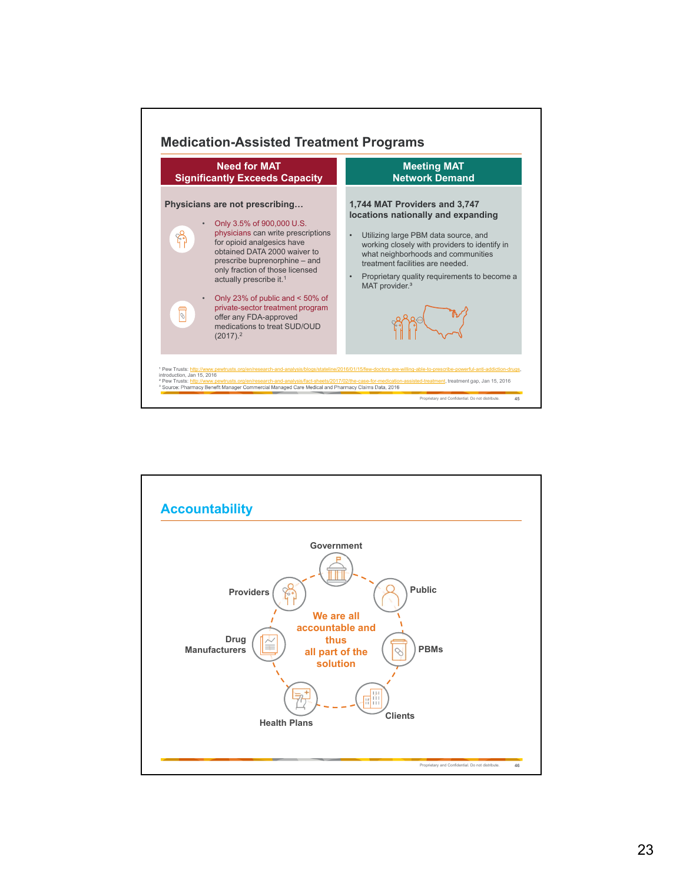

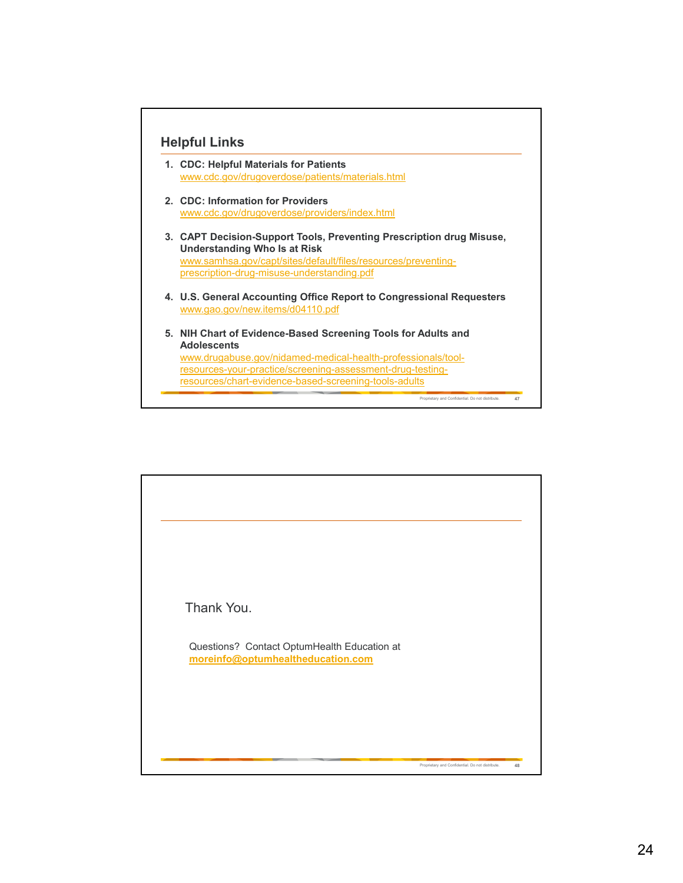

- **1. CDC: Helpful Materials for Patients**  www.cdc.gov/drugoverdose/patients/materials.html
- **2. CDC: Information for Providers** www.cdc.gov/drugoverdose/providers/index.html
- **3. CAPT Decision-Support Tools, Preventing Prescription drug Misuse, Understanding Who Is at Risk**  www.samhsa.gov/capt/sites/default/files/resources/preventingprescription-drug-misuse-understanding.pdf
- **4. U.S. General Accounting Office Report to Congressional Requesters** www.gao.gov/new.items/d04110.pdf

Proprietary and Confidential. Do not distribute. **47**

**5. NIH Chart of Evidence-Based Screening Tools for Adults and Adolescents** www.drugabuse.gov/nidamed-medical-health-professionals/toolresources-your-practice/screening-assessment-drug-testingresources/chart-evidence-based-screening-tools-adults

Proprietary and Confidential. Do not distribute. **48** Thank You. Questions? Contact OptumHealth Education at **moreinfo@optumhealtheducation.com**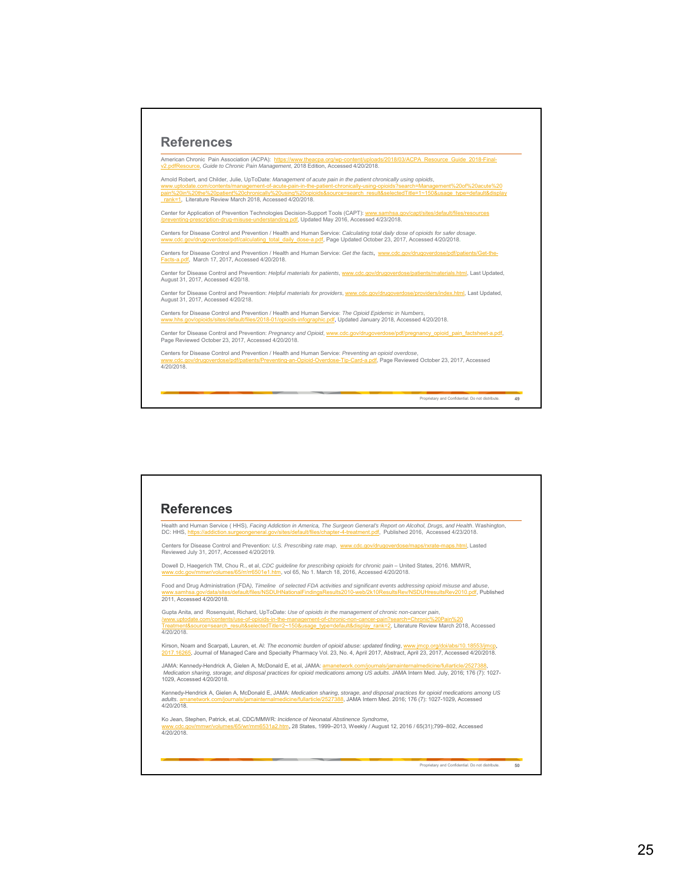

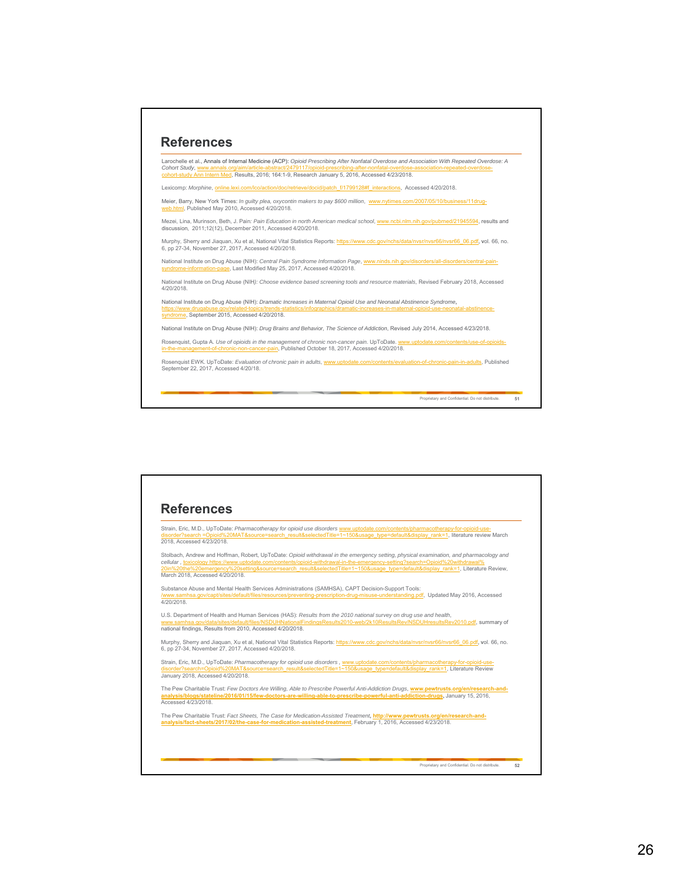